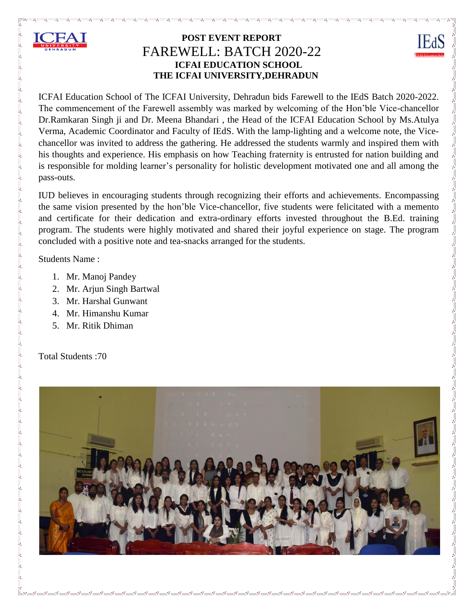

 $\frac{1}{2}$ 

 $\frac{8}{3}$ 

 $30 - 30 - 30 - 30 - 30 - 30 - 30$ 

 $\frac{1}{2}$ 

 $-2 - 2 - 2 - 2 - 2$ 

 $-8 - 8 - 8 - 8 - 8$ 

## **POST EVENT REPORT** FAREWELL: BATCH 2020-22 **ICFAI EDUCATION SCHOOL THE ICFAI UNIVERSITY,DEHRADUN**

IE<sub>d</sub>S

ICFAI Education School of The ICFAI University, Dehradun bids Farewell to the IEdS Batch 2020-2022. The commencement of the Farewell assembly was marked by welcoming of the Hon'ble Vice-chancellor Dr.Ramkaran Singh ji and Dr. Meena Bhandari , the Head of the ICFAI Education School by Ms.Atulya Verma, Academic Coordinator and Faculty of IEdS. With the lamp-lighting and a welcome note, the Vicechancellor was invited to address the gathering. He addressed the students warmly and inspired them with his thoughts and experience. His emphasis on how Teaching fraternity is entrusted for nation building and is responsible for molding learner's personality for holistic development motivated one and all among the pass-outs.

IUD believes in encouraging students through recognizing their efforts and achievements. Encompassing the same vision presented by the hon'ble Vice-chancellor, five students were felicitated with a memento and certificate for their dedication and extra-ordinary efforts invested throughout the B.Ed. training program. The students were highly motivated and shared their joyful experience on stage. The program concluded with a positive note and tea-snacks arranged for the students.

Students Name :

- 1. Mr. Manoj Pandey
- 2. Mr. Arjun Singh Bartwal
- 3. Mr. Harshal Gunwant
- 4. Mr. Himanshu Kumar
- 5. Mr. Ritik Dhiman

Total Students :70